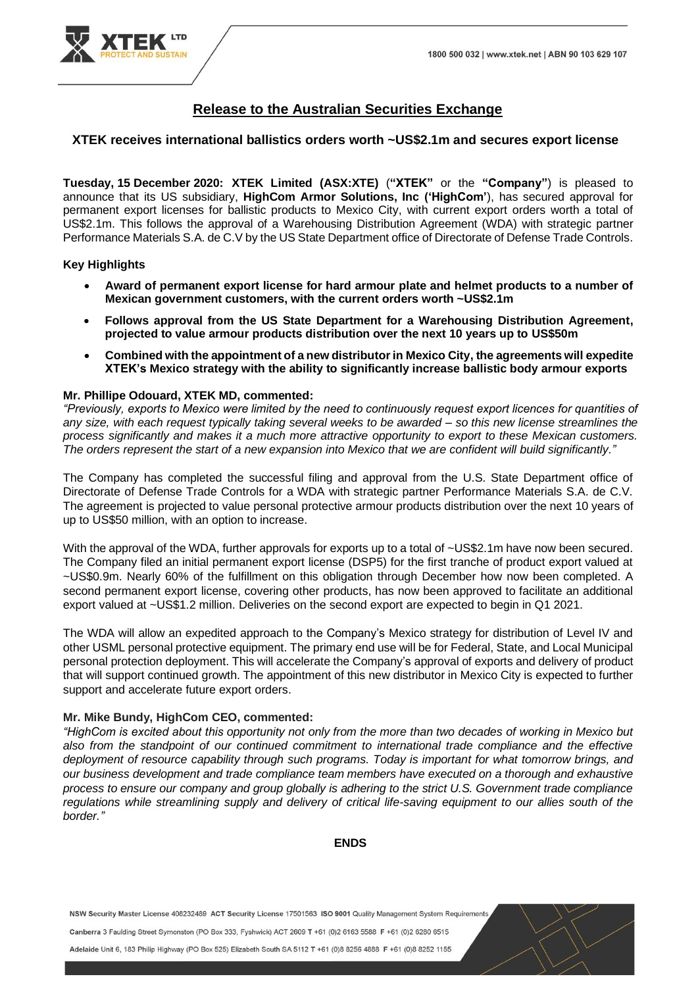

# **Release to the Australian Securities Exchange**

#### **XTEK receives international ballistics orders worth ~US\$2.1m and secures export license**

**Tuesday, 15 December 2020: XTEK Limited (ASX:XTE)** (**"XTEK"** or the **"Company"**) is pleased to announce that its US subsidiary, **HighCom Armor Solutions, Inc ('HighCom'**), has secured approval for permanent export licenses for ballistic products to Mexico City, with current export orders worth a total of US\$2.1m. This follows the approval of a Warehousing Distribution Agreement (WDA) with strategic partner Performance Materials S.A. de C.V by the US State Department office of Directorate of Defense Trade Controls.

#### **Key Highlights**

- **Award of permanent export license for hard armour plate and helmet products to a number of Mexican government customers, with the current orders worth ~US\$2.1m**
- **Follows approval from the US State Department for a Warehousing Distribution Agreement, projected to value armour products distribution over the next 10 years up to US\$50m**
- **Combined with the appointment of a new distributor in Mexico City, the agreements will expedite XTEK's Mexico strategy with the ability to significantly increase ballistic body armour exports**

#### **Mr. Phillipe Odouard, XTEK MD, commented:**

*"Previously, exports to Mexico were limited by the need to continuously request export licences for quantities of any size, with each request typically taking several weeks to be awarded – so this new license streamlines the process significantly and makes it a much more attractive opportunity to export to these Mexican customers. The orders represent the start of a new expansion into Mexico that we are confident will build significantly."*

The Company has completed the successful filing and approval from the U.S. State Department office of Directorate of Defense Trade Controls for a WDA with strategic partner Performance Materials S.A. de C.V. The agreement is projected to value personal protective armour products distribution over the next 10 years of up to US\$50 million, with an option to increase.

With the approval of the WDA, further approvals for exports up to a total of ~US\$2.1m have now been secured. The Company filed an initial permanent export license (DSP5) for the first tranche of product export valued at ~US\$0.9m. Nearly 60% of the fulfillment on this obligation through December how now been completed. A second permanent export license, covering other products, has now been approved to facilitate an additional export valued at ~US\$1.2 million. Deliveries on the second export are expected to begin in Q1 2021.

The WDA will allow an expedited approach to the Company's Mexico strategy for distribution of Level IV and other USML personal protective equipment. The primary end use will be for Federal, State, and Local Municipal personal protection deployment. This will accelerate the Company's approval of exports and delivery of product that will support continued growth. The appointment of this new distributor in Mexico City is expected to further support and accelerate future export orders.

#### **Mr. Mike Bundy, HighCom CEO, commented:**

*"HighCom is excited about this opportunity not only from the more than two decades of working in Mexico but also from the standpoint of our continued commitment to international trade compliance and the effective deployment of resource capability through such programs. Today is important for what tomorrow brings, and our business development and trade compliance team members have executed on a thorough and exhaustive process to ensure our company and group globally is adhering to the strict U.S. Government trade compliance regulations while streamlining supply and delivery of critical life-saving equipment to our allies south of the border."*

## **ENDS**

NSW Security Master License 408232489 ACT Security License 17501563 ISO 9001 Quality Management System Requirements

Canberra 3 Faulding Street Symonston (PO Box 333, Fyshwick) ACT 2609 T +61 (0)2 6163 5588 F +61 (0)2 6280 6515

Adelaide Unit 6, 183 Philip Highway (PO Box 525) Elizabeth South SA 5112 T +61 (0)8 8256 4888 F +61 (0)8 8252 1155